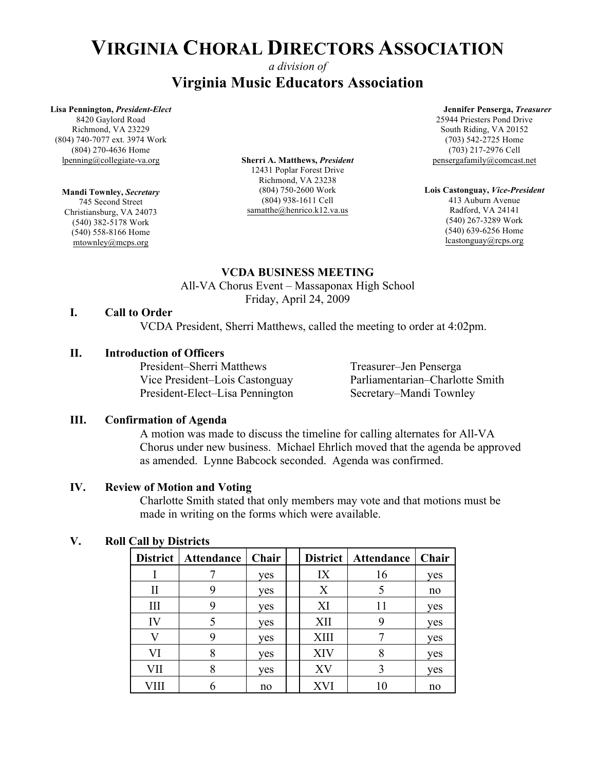### *a division of* **Virginia Music Educators Association**

#### **Lisa Pennington,** *President-Elect*

8420 Gaylord Road Richmond, VA 23229 (804) 740-7077 ext. 3974 Work (804) 270-4636 Home lpenning@collegiate-va.org

### **Mandi Townley,** *Secretary*

745 Second Street Christiansburg, VA 24073 (540) 382-5178 Work (540) 558-8166 Home mtownley@mcps.org

**Sherri A. Matthews,** *President* 12431 Poplar Forest Drive Richmond, VA 23238 (804) 750-2600 Work (804) 938-1611 Cell samatthe@henrico.k12.va.us

#### **Jennifer Penserga,** *Treasurer*

25944 Priesters Pond Drive South Riding, VA 20152 (703) 542-2725 Home (703) 217-2976 Cell pensergafamily@comcast.net

**Lois Castonguay,** *Vice-President* 413 Auburn Avenue Radford, VA 24141 (540) 267-3289 Work (540) 639-6256 Home lcastonguay@rcps.org

### **VCDA BUSINESS MEETING**

All-VA Chorus Event – Massaponax High School Friday, April 24, 2009

### **I. Call to Order**

VCDA President, Sherri Matthews, called the meeting to order at 4:02pm.

### **II. Introduction of Officers**

President–Sherri Matthews Treasurer–Jen Penserga President-Elect–Lisa Pennington Secretary–Mandi Townley

Vice President–Lois Castonguay Parliamentarian–Charlotte Smith

### **III. Confirmation of Agenda**

A motion was made to discuss the timeline for calling alternates for All-VA Chorus under new business. Michael Ehrlich moved that the agenda be approved as amended. Lynne Babcock seconded. Agenda was confirmed.

### **IV. Review of Motion and Voting**

Charlotte Smith stated that only members may vote and that motions must be made in writing on the forms which were available.

### **V. Roll Call by Districts**

| <b>District</b> | Attendance | Chair | <b>District</b> | Attendance | Chair |
|-----------------|------------|-------|-----------------|------------|-------|
|                 |            | yes   | IX              | 16         | yes   |
| П               | 9          | yes   | X               |            | no    |
| III             | Q          | ves   | XI              | 11         | yes   |
| IV              |            | yes   | XII             |            | yes   |
|                 | Q          | yes   | XIII            |            | yes   |
| VI              | 8          | yes   | <b>XIV</b>      | 8          | yes   |
| VII             | 8          | yes   | XV              |            | yes   |
|                 |            | no    | XVI             |            | no    |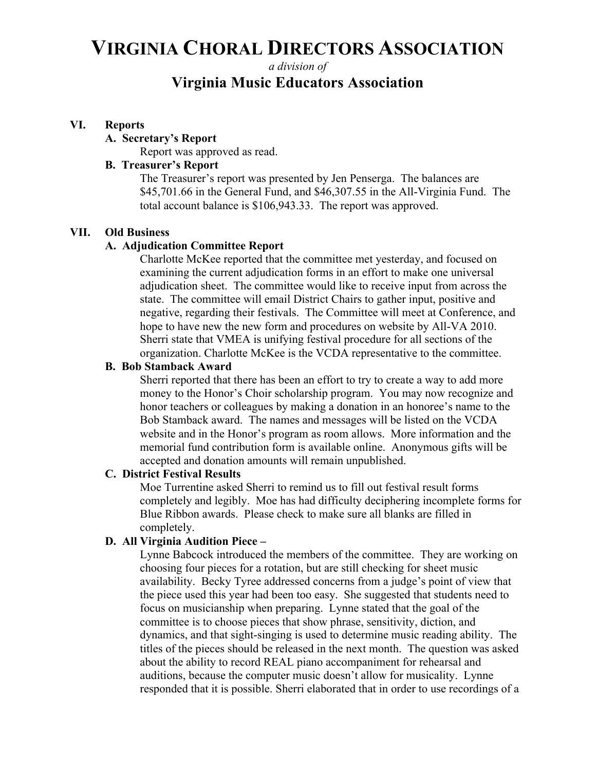*a division of*

## **Virginia Music Educators Association**

### **VI. Reports**

#### **A. Secretary's Report**

Report was approved as read.

### **B. Treasurer's Report**

The Treasurer's report was presented by Jen Penserga. The balances are \$45,701.66 in the General Fund, and \$46,307.55 in the All-Virginia Fund. The total account balance is \$106,943.33. The report was approved.

### **VII. Old Business**

### **A. Adjudication Committee Report**

Charlotte McKee reported that the committee met yesterday, and focused on examining the current adjudication forms in an effort to make one universal adjudication sheet. The committee would like to receive input from across the state. The committee will email District Chairs to gather input, positive and negative, regarding their festivals. The Committee will meet at Conference, and hope to have new the new form and procedures on website by All-VA 2010. Sherri state that VMEA is unifying festival procedure for all sections of the organization. Charlotte McKee is the VCDA representative to the committee.

#### **B. Bob Stamback Award**

Sherri reported that there has been an effort to try to create a way to add more money to the Honor's Choir scholarship program. You may now recognize and honor teachers or colleagues by making a donation in an honoree's name to the Bob Stamback award. The names and messages will be listed on the VCDA website and in the Honor's program as room allows. More information and the memorial fund contribution form is available online. Anonymous gifts will be accepted and donation amounts will remain unpublished.

#### **C. District Festival Results**

Moe Turrentine asked Sherri to remind us to fill out festival result forms completely and legibly. Moe has had difficulty deciphering incomplete forms for Blue Ribbon awards. Please check to make sure all blanks are filled in completely.

### **D. All Virginia Audition Piece –**

Lynne Babcock introduced the members of the committee. They are working on choosing four pieces for a rotation, but are still checking for sheet music availability. Becky Tyree addressed concerns from a judge's point of view that the piece used this year had been too easy. She suggested that students need to focus on musicianship when preparing. Lynne stated that the goal of the committee is to choose pieces that show phrase, sensitivity, diction, and dynamics, and that sight-singing is used to determine music reading ability. The titles of the pieces should be released in the next month. The question was asked about the ability to record REAL piano accompaniment for rehearsal and auditions, because the computer music doesn't allow for musicality. Lynne responded that it is possible. Sherri elaborated that in order to use recordings of a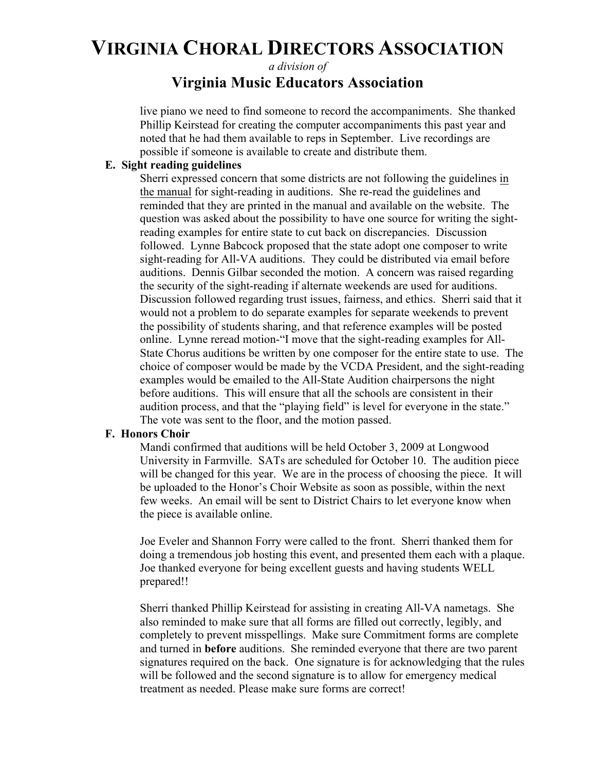*a division of*

## **Virginia Music Educators Association**

live piano we need to find someone to record the accompaniments. She thanked Phillip Keirstead for creating the computer accompaniments this past year and noted that he had them available to reps in September. Live recordings are possible if someone is available to create and distribute them.

### **E. Sight reading guidelines**

Sherri expressed concern that some districts are not following the guidelines in the manual for sight-reading in auditions. She re-read the guidelines and reminded that they are printed in the manual and available on the website. The question was asked about the possibility to have one source for writing the sightreading examples for entire state to cut back on discrepancies. Discussion followed. Lynne Babcock proposed that the state adopt one composer to write sight-reading for All-VA auditions. They could be distributed via email before auditions. Dennis Gilbar seconded the motion. A concern was raised regarding the security of the sight-reading if alternate weekends are used for auditions. Discussion followed regarding trust issues, fairness, and ethics. Sherri said that it would not a problem to do separate examples for separate weekends to prevent the possibility of students sharing, and that reference examples will be posted online. Lynne reread motion-"I move that the sight-reading examples for All-State Chorus auditions be written by one composer for the entire state to use. The choice of composer would be made by the VCDA President, and the sight-reading examples would be emailed to the All-State Audition chairpersons the night before auditions. This will ensure that all the schools are consistent in their audition process, and that the "playing field" is level for everyone in the state." The vote was sent to the floor, and the motion passed.

### **F. Honors Choir**

Mandi confirmed that auditions will be held October 3, 2009 at Longwood University in Farmville. SATs are scheduled for October 10. The audition piece will be changed for this year. We are in the process of choosing the piece. It will be uploaded to the Honor's Choir Website as soon as possible, within the next few weeks. An email will be sent to District Chairs to let everyone know when the piece is available online.

Joe Eveler and Shannon Forry were called to the front. Sherri thanked them for doing a tremendous job hosting this event, and presented them each with a plaque. Joe thanked everyone for being excellent guests and having students WELL prepared!!

Sherri thanked Phillip Keirstead for assisting in creating All-VA nametags. She also reminded to make sure that all forms are filled out correctly, legibly, and completely to prevent misspellings. Make sure Commitment forms are complete and turned in **before** auditions. She reminded everyone that there are two parent signatures required on the back. One signature is for acknowledging that the rules will be followed and the second signature is to allow for emergency medical treatment as needed. Please make sure forms are correct!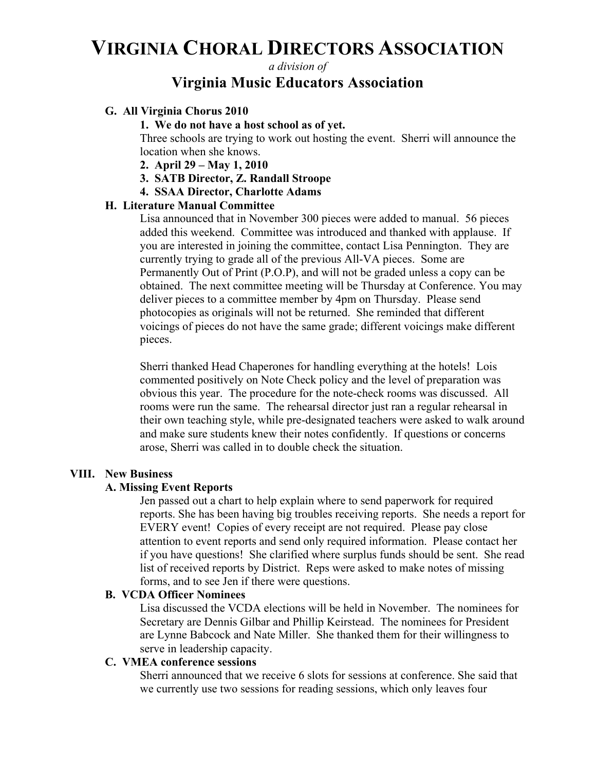*a division of*

## **Virginia Music Educators Association**

### **G. All Virginia Chorus 2010**

**1. We do not have a host school as of yet.**

Three schools are trying to work out hosting the event. Sherri will announce the location when she knows.

- **2. April 29 – May 1, 2010**
- **3. SATB Director, Z. Randall Stroope**
- **4. SSAA Director, Charlotte Adams**

### **H. Literature Manual Committee**

Lisa announced that in November 300 pieces were added to manual. 56 pieces added this weekend. Committee was introduced and thanked with applause. If you are interested in joining the committee, contact Lisa Pennington. They are currently trying to grade all of the previous All-VA pieces. Some are Permanently Out of Print (P.O.P), and will not be graded unless a copy can be obtained. The next committee meeting will be Thursday at Conference. You may deliver pieces to a committee member by 4pm on Thursday. Please send photocopies as originals will not be returned. She reminded that different voicings of pieces do not have the same grade; different voicings make different pieces.

Sherri thanked Head Chaperones for handling everything at the hotels! Lois commented positively on Note Check policy and the level of preparation was obvious this year. The procedure for the note-check rooms was discussed. All rooms were run the same. The rehearsal director just ran a regular rehearsal in their own teaching style, while pre-designated teachers were asked to walk around and make sure students knew their notes confidently. If questions or concerns arose, Sherri was called in to double check the situation.

### **VIII. New Business**

### **A. Missing Event Reports**

Jen passed out a chart to help explain where to send paperwork for required reports. She has been having big troubles receiving reports. She needs a report for EVERY event! Copies of every receipt are not required. Please pay close attention to event reports and send only required information. Please contact her if you have questions! She clarified where surplus funds should be sent. She read list of received reports by District. Reps were asked to make notes of missing forms, and to see Jen if there were questions.

### **B. VCDA Officer Nominees**

Lisa discussed the VCDA elections will be held in November. The nominees for Secretary are Dennis Gilbar and Phillip Keirstead. The nominees for President are Lynne Babcock and Nate Miller. She thanked them for their willingness to serve in leadership capacity.

### **C. VMEA conference sessions**

Sherri announced that we receive 6 slots for sessions at conference. She said that we currently use two sessions for reading sessions, which only leaves four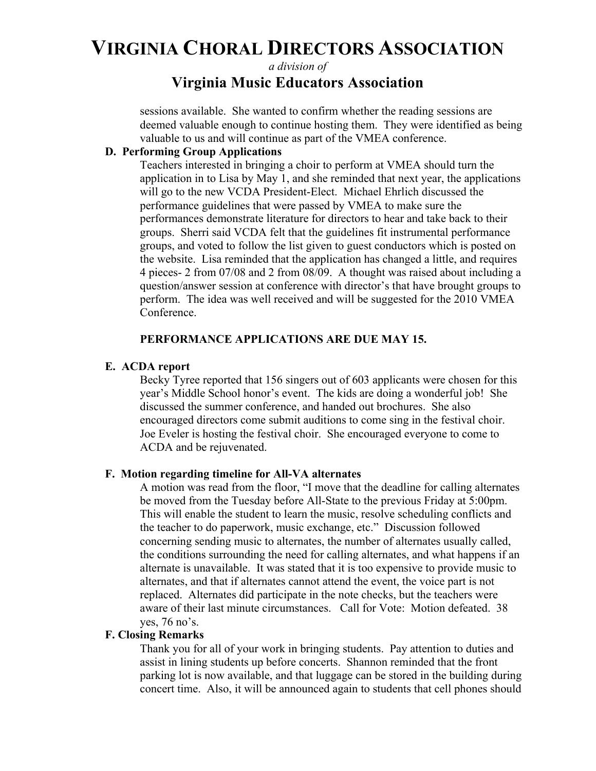*a division of*

## **Virginia Music Educators Association**

sessions available. She wanted to confirm whether the reading sessions are deemed valuable enough to continue hosting them. They were identified as being valuable to us and will continue as part of the VMEA conference.

### **D. Performing Group Applications**

Teachers interested in bringing a choir to perform at VMEA should turn the application in to Lisa by May 1, and she reminded that next year, the applications will go to the new VCDA President-Elect. Michael Ehrlich discussed the performance guidelines that were passed by VMEA to make sure the performances demonstrate literature for directors to hear and take back to their groups. Sherri said VCDA felt that the guidelines fit instrumental performance groups, and voted to follow the list given to guest conductors which is posted on the website. Lisa reminded that the application has changed a little, and requires 4 pieces- 2 from 07/08 and 2 from 08/09. A thought was raised about including a question/answer session at conference with director's that have brought groups to perform. The idea was well received and will be suggested for the 2010 VMEA Conference.

### **PERFORMANCE APPLICATIONS ARE DUE MAY 15.**

### **E. ACDA report**

Becky Tyree reported that 156 singers out of 603 applicants were chosen for this year's Middle School honor's event. The kids are doing a wonderful job! She discussed the summer conference, and handed out brochures. She also encouraged directors come submit auditions to come sing in the festival choir. Joe Eveler is hosting the festival choir. She encouraged everyone to come to ACDA and be rejuvenated.

### **F. Motion regarding timeline for All-VA alternates**

A motion was read from the floor, "I move that the deadline for calling alternates be moved from the Tuesday before All-State to the previous Friday at 5:00pm. This will enable the student to learn the music, resolve scheduling conflicts and the teacher to do paperwork, music exchange, etc." Discussion followed concerning sending music to alternates, the number of alternates usually called, the conditions surrounding the need for calling alternates, and what happens if an alternate is unavailable. It was stated that it is too expensive to provide music to alternates, and that if alternates cannot attend the event, the voice part is not replaced. Alternates did participate in the note checks, but the teachers were aware of their last minute circumstances. Call for Vote: Motion defeated. 38 yes, 76 no's.

### **F. Closing Remarks**

Thank you for all of your work in bringing students. Pay attention to duties and assist in lining students up before concerts. Shannon reminded that the front parking lot is now available, and that luggage can be stored in the building during concert time. Also, it will be announced again to students that cell phones should